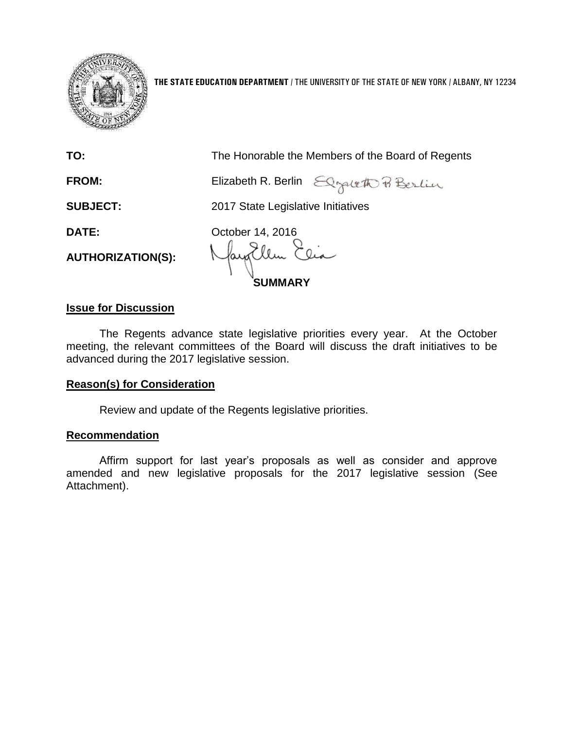

**THE STATE EDUCATION DEPARTMENT** / THE UNIVERSITY OF THE STATE OF NEW YORK / ALBANY, NY 12234

| TO:                      | The Honorable the Members of the Board of Regents |  |
|--------------------------|---------------------------------------------------|--|
| FROM:                    | Elizabeth R. Berlin Elizabeth P. Berlin           |  |
| <b>SUBJECT:</b>          | 2017 State Legislative Initiatives                |  |
| DATE:                    | October 14, 2016                                  |  |
| <b>AUTHORIZATION(S):</b> | May Ellen Elia<br><b>SUMMARY</b>                  |  |

## **Issue for Discussion**

The Regents advance state legislative priorities every year. At the October meeting, the relevant committees of the Board will discuss the draft initiatives to be advanced during the 2017 legislative session.

## **Reason(s) for Consideration**

Review and update of the Regents legislative priorities.

## **Recommendation**

Affirm support for last year's proposals as well as consider and approve amended and new legislative proposals for the 2017 legislative session (See Attachment).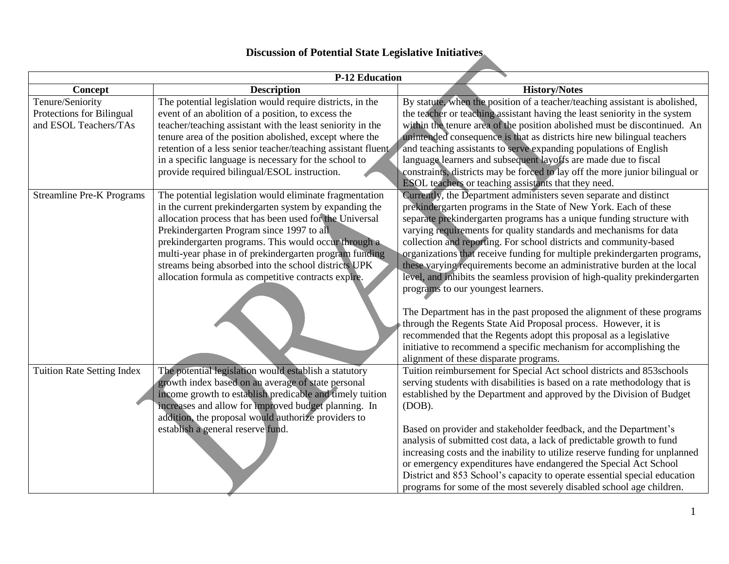## **Discussion of Potential State Legislative Initiatives**

| <b>P-12 Education</b>             |                                                              |                                                                                                                                     |
|-----------------------------------|--------------------------------------------------------------|-------------------------------------------------------------------------------------------------------------------------------------|
| Concept                           | <b>Description</b>                                           | <b>History/Notes</b>                                                                                                                |
| Tenure/Seniority                  | The potential legislation would require districts, in the    | By statute, when the position of a teacher/teaching assistant is abolished,                                                         |
| Protections for Bilingual         | event of an abolition of a position, to excess the           | the teacher or teaching assistant having the least seniority in the system                                                          |
| and ESOL Teachers/TAs             | teacher/teaching assistant with the least seniority in the   | within the tenure area of the position abolished must be discontinued. An                                                           |
|                                   | tenure area of the position abolished, except where the      | unintended consequence is that as districts hire new bilingual teachers                                                             |
|                                   | retention of a less senior teacher/teaching assistant fluent | and teaching assistants to serve expanding populations of English                                                                   |
|                                   | in a specific language is necessary for the school to        | language learners and subsequent layoffs are made due to fiscal                                                                     |
|                                   | provide required bilingual/ESOL instruction.                 | constraints, districts may be forced to lay off the more junior bilingual or                                                        |
|                                   |                                                              | ESOL teachers or teaching assistants that they need.                                                                                |
| <b>Streamline Pre-K Programs</b>  | The potential legislation would eliminate fragmentation      | Currently, the Department administers seven separate and distinct                                                                   |
|                                   | in the current prekindergarten system by expanding the       | prekindergarten programs in the State of New York. Each of these                                                                    |
|                                   | allocation process that has been used for the Universal      | separate prekindergarten programs has a unique funding structure with                                                               |
|                                   | Prekindergarten Program since 1997 to all                    | varying requirements for quality standards and mechanisms for data                                                                  |
|                                   | prekindergarten programs. This would occur through a         | collection and reporting. For school districts and community-based                                                                  |
|                                   | multi-year phase in of prekindergarten program funding       | organizations that receive funding for multiple prekindergarten programs,                                                           |
|                                   | streams being absorbed into the school districts UPK         | these varying requirements become an administrative burden at the local                                                             |
|                                   | allocation formula as competitive contracts expire.          | level, and inhibits the seamless provision of high-quality prekindergarten                                                          |
|                                   |                                                              | programs to our youngest learners.                                                                                                  |
|                                   |                                                              |                                                                                                                                     |
|                                   |                                                              | The Department has in the past proposed the alignment of these programs                                                             |
|                                   |                                                              | through the Regents State Aid Proposal process. However, it is<br>recommended that the Regents adopt this proposal as a legislative |
|                                   |                                                              | initiative to recommend a specific mechanism for accomplishing the                                                                  |
|                                   |                                                              | alignment of these disparate programs.                                                                                              |
| <b>Tuition Rate Setting Index</b> | The potential legislation would establish a statutory        | Tuition reimbursement for Special Act school districts and 853schools                                                               |
|                                   | growth index based on an average of state personal           | serving students with disabilities is based on a rate methodology that is                                                           |
|                                   | income growth to establish predicable and timely tuition     | established by the Department and approved by the Division of Budget                                                                |
|                                   | increases and allow for improved budget planning. In         | $(DOB)$ .                                                                                                                           |
|                                   | addition, the proposal would authorize providers to          |                                                                                                                                     |
|                                   | establish a general reserve fund.                            | Based on provider and stakeholder feedback, and the Department's                                                                    |
|                                   |                                                              | analysis of submitted cost data, a lack of predictable growth to fund                                                               |
|                                   |                                                              | increasing costs and the inability to utilize reserve funding for unplanned                                                         |
|                                   |                                                              | or emergency expenditures have endangered the Special Act School                                                                    |
|                                   |                                                              | District and 853 School's capacity to operate essential special education                                                           |
|                                   |                                                              | programs for some of the most severely disabled school age children.                                                                |
|                                   |                                                              |                                                                                                                                     |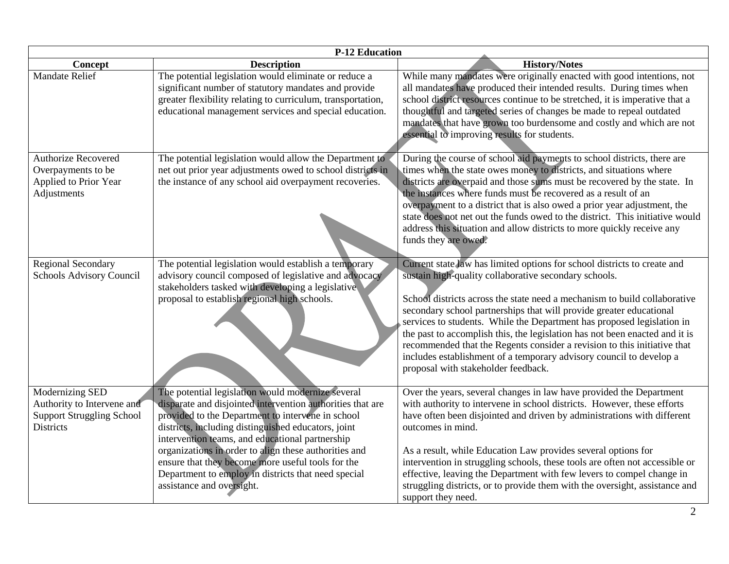| <b>P-12 Education</b>                                                                                 |                                                                                                                                                                                                                                                                                                                                                                                                                                                                                  |                                                                                                                                                                                                                                                                                                                                                                                                                                                                                                                                                                                                                                          |
|-------------------------------------------------------------------------------------------------------|----------------------------------------------------------------------------------------------------------------------------------------------------------------------------------------------------------------------------------------------------------------------------------------------------------------------------------------------------------------------------------------------------------------------------------------------------------------------------------|------------------------------------------------------------------------------------------------------------------------------------------------------------------------------------------------------------------------------------------------------------------------------------------------------------------------------------------------------------------------------------------------------------------------------------------------------------------------------------------------------------------------------------------------------------------------------------------------------------------------------------------|
| Concept                                                                                               | <b>Description</b>                                                                                                                                                                                                                                                                                                                                                                                                                                                               | <b>History/Notes</b>                                                                                                                                                                                                                                                                                                                                                                                                                                                                                                                                                                                                                     |
| <b>Mandate Relief</b>                                                                                 | The potential legislation would eliminate or reduce a<br>significant number of statutory mandates and provide<br>greater flexibility relating to curriculum, transportation,<br>educational management services and special education.                                                                                                                                                                                                                                           | While many mandates were originally enacted with good intentions, not<br>all mandates have produced their intended results. During times when<br>school district resources continue to be stretched, it is imperative that a<br>thoughtful and targeted series of changes be made to repeal outdated<br>mandates that have grown too burdensome and costly and which are not<br>essential to improving results for students.                                                                                                                                                                                                             |
| <b>Authorize Recovered</b><br>Overpayments to be<br>Applied to Prior Year<br>Adjustments              | The potential legislation would allow the Department to<br>net out prior year adjustments owed to school districts in<br>the instance of any school aid overpayment recoveries.                                                                                                                                                                                                                                                                                                  | During the course of school aid payments to school districts, there are<br>times when the state owes money to districts, and situations where<br>districts are overpaid and those sums must be recovered by the state. In<br>the instances where funds must be recovered as a result of an<br>overpayment to a district that is also owed a prior year adjustment, the<br>state does not net out the funds owed to the district. This initiative would<br>address this situation and allow districts to more quickly receive any<br>funds they are owed.                                                                                 |
| <b>Regional Secondary</b><br>Schools Advisory Council                                                 | The potential legislation would establish a temporary<br>advisory council composed of legislative and advocacy<br>stakeholders tasked with developing a legislative<br>proposal to establish regional high schools.                                                                                                                                                                                                                                                              | Current state law has limited options for school districts to create and<br>sustain high-quality collaborative secondary schools.<br>School districts across the state need a mechanism to build collaborative<br>secondary school partnerships that will provide greater educational<br>services to students. While the Department has proposed legislation in<br>the past to accomplish this, the legislation has not been enacted and it is<br>recommended that the Regents consider a revision to this initiative that<br>includes establishment of a temporary advisory council to develop a<br>proposal with stakeholder feedback. |
| Modernizing SED<br>Authority to Intervene and<br><b>Support Struggling School</b><br><b>Districts</b> | The potential legislation would modernize several<br>disparate and disjointed intervention authorities that are<br>provided to the Department to intervene in school<br>districts, including distinguished educators, joint<br>intervention teams, and educational partnership<br>organizations in order to align these authorities and<br>ensure that they become more useful tools for the<br>Department to employ in districts that need special<br>assistance and oversight. | Over the years, several changes in law have provided the Department<br>with authority to intervene in school districts. However, these efforts<br>have often been disjointed and driven by administrations with different<br>outcomes in mind.<br>As a result, while Education Law provides several options for<br>intervention in struggling schools, these tools are often not accessible or<br>effective, leaving the Department with few levers to compel change in<br>struggling districts, or to provide them with the oversight, assistance and<br>support they need.                                                             |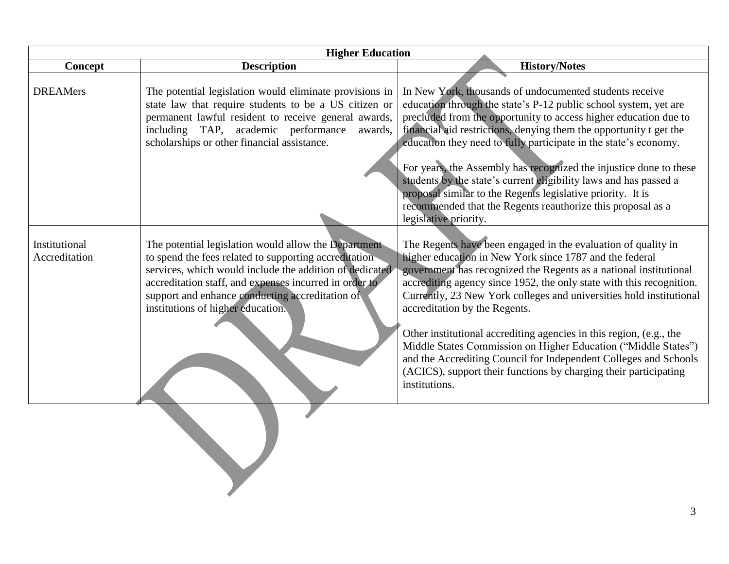| <b>Higher Education</b>        |                                                                                                                                                                                                                                                                                                                            |                                                                                                                                                                                                                                                                                                                                                                                                                                                                                                                                                                                                                                                                                                          |
|--------------------------------|----------------------------------------------------------------------------------------------------------------------------------------------------------------------------------------------------------------------------------------------------------------------------------------------------------------------------|----------------------------------------------------------------------------------------------------------------------------------------------------------------------------------------------------------------------------------------------------------------------------------------------------------------------------------------------------------------------------------------------------------------------------------------------------------------------------------------------------------------------------------------------------------------------------------------------------------------------------------------------------------------------------------------------------------|
| Concept                        | <b>Description</b>                                                                                                                                                                                                                                                                                                         | <b>History/Notes</b>                                                                                                                                                                                                                                                                                                                                                                                                                                                                                                                                                                                                                                                                                     |
| <b>DREAMers</b>                | The potential legislation would eliminate provisions in<br>state law that require students to be a US citizen or<br>permanent lawful resident to receive general awards,<br>including TAP, academic performance<br>awards,<br>scholarships or other financial assistance.                                                  | In New York, thousands of undocumented students receive<br>education through the state's P-12 public school system, yet are<br>precluded from the opportunity to access higher education due to<br>financial aid restrictions, denying them the opportunity t get the<br>education they need to fully participate in the state's economy.<br>For years, the Assembly has recognized the injustice done to these<br>students by the state's current eligibility laws and has passed a<br>proposal similar to the Regents legislative priority. It is<br>recommended that the Regents reauthorize this proposal as a                                                                                       |
| Institutional<br>Accreditation | The potential legislation would allow the Department<br>to spend the fees related to supporting accreditation<br>services, which would include the addition of dedicated<br>accreditation staff, and expenses incurred in order to<br>support and enhance conducting accreditation of<br>institutions of higher education. | legislative priority.<br>The Regents have been engaged in the evaluation of quality in<br>higher education in New York since 1787 and the federal<br>government has recognized the Regents as a national institutional<br>accrediting agency since 1952, the only state with this recognition.<br>Currently, 23 New York colleges and universities hold institutional<br>accreditation by the Regents.<br>Other institutional accrediting agencies in this region, (e.g., the<br>Middle States Commission on Higher Education ("Middle States")<br>and the Accrediting Council for Independent Colleges and Schools<br>(ACICS), support their functions by charging their participating<br>institutions. |
|                                |                                                                                                                                                                                                                                                                                                                            |                                                                                                                                                                                                                                                                                                                                                                                                                                                                                                                                                                                                                                                                                                          |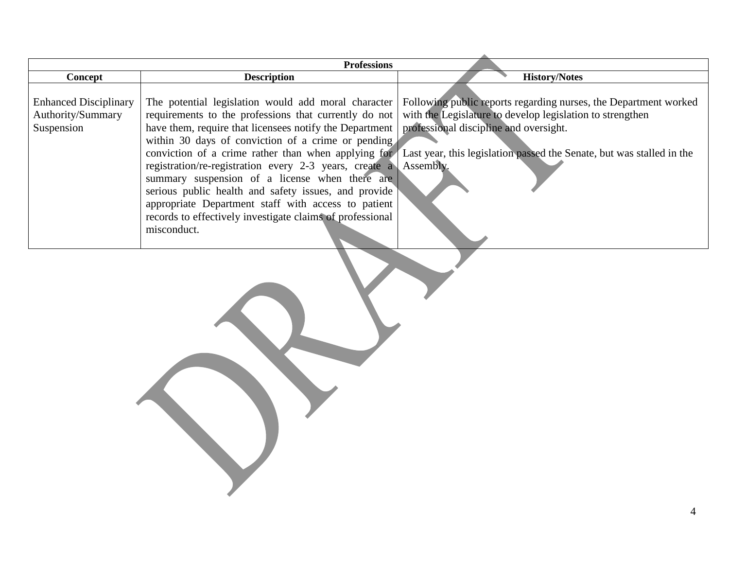| <b>Professions</b>                                              |                                                                                                                                                                                                                                                                                                                                                                                                                                                                                                                                                                               |                                                                                                                                                                                                                                                                         |
|-----------------------------------------------------------------|-------------------------------------------------------------------------------------------------------------------------------------------------------------------------------------------------------------------------------------------------------------------------------------------------------------------------------------------------------------------------------------------------------------------------------------------------------------------------------------------------------------------------------------------------------------------------------|-------------------------------------------------------------------------------------------------------------------------------------------------------------------------------------------------------------------------------------------------------------------------|
| Concept                                                         | <b>Description</b>                                                                                                                                                                                                                                                                                                                                                                                                                                                                                                                                                            | <b>History/Notes</b>                                                                                                                                                                                                                                                    |
| <b>Enhanced Disciplinary</b><br>Authority/Summary<br>Suspension | The potential legislation would add moral character<br>requirements to the professions that currently do not<br>have them, require that licensees notify the Department   professional discipline and oversight.<br>within 30 days of conviction of a crime or pending<br>registration/re-registration every 2-3 years, create a<br>summary suspension of a license when there are<br>serious public health and safety issues, and provide<br>appropriate Department staff with access to patient<br>records to effectively investigate claims of professional<br>misconduct. | Following public reports regarding nurses, the Department worked<br>with the Legislature to develop legislation to strengthen<br>conviction of a crime rather than when applying for Last year, this legislation passed the Senate, but was stalled in the<br>Assembly. |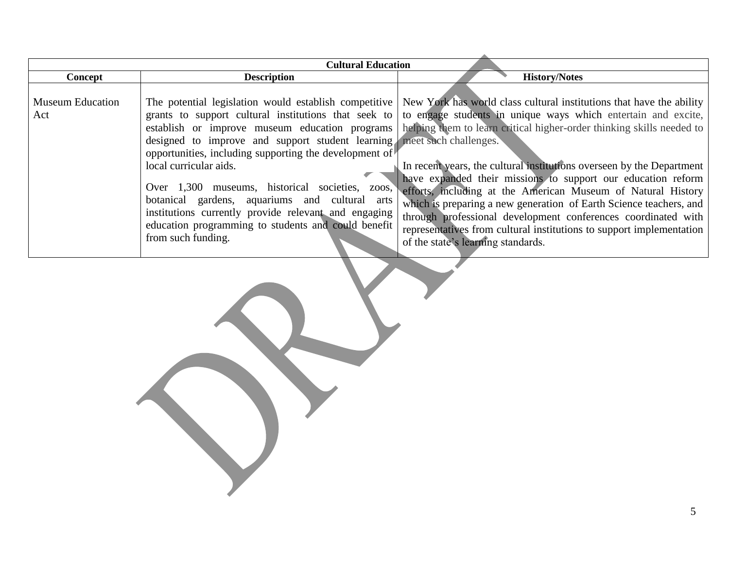| <b>Cultural Education</b>      |                                                                                                                                                                                                                                                                                                                                                                                                                   |                                                                                                                                                                                                                                                                                                                                                                                                                                                                                                                                                                                                                                                                                                                                                                                                                                          |
|--------------------------------|-------------------------------------------------------------------------------------------------------------------------------------------------------------------------------------------------------------------------------------------------------------------------------------------------------------------------------------------------------------------------------------------------------------------|------------------------------------------------------------------------------------------------------------------------------------------------------------------------------------------------------------------------------------------------------------------------------------------------------------------------------------------------------------------------------------------------------------------------------------------------------------------------------------------------------------------------------------------------------------------------------------------------------------------------------------------------------------------------------------------------------------------------------------------------------------------------------------------------------------------------------------------|
| Concept                        | <b>Description</b>                                                                                                                                                                                                                                                                                                                                                                                                | <b>History/Notes</b>                                                                                                                                                                                                                                                                                                                                                                                                                                                                                                                                                                                                                                                                                                                                                                                                                     |
| <b>Museum Education</b><br>Act | designed to improve and support student learning meet such challenges.<br>opportunities, including supporting the development of $\mathbb{R}$<br>local curricular aids.<br>Over 1,300 museums, historical societies, zoos,<br>botanical gardens, aquariums and cultural arts<br>institutions currently provide relevant and engaging<br>education programming to students and could benefit<br>from such funding. | The potential legislation would establish competitive   New York has world class cultural institutions that have the ability<br>grants to support cultural institutions that seek to to engage students in unique ways which entertain and excite,<br>establish or improve museum education programs helping them to learn critical higher-order thinking skills needed to<br>In recent years, the cultural institutions overseen by the Department<br>have expanded their missions to support our education reform<br>efforts, including at the American Museum of Natural History<br>which is preparing a new generation of Earth Science teachers, and<br>through professional development conferences coordinated with<br>representatives from cultural institutions to support implementation<br>of the state's learning standards. |